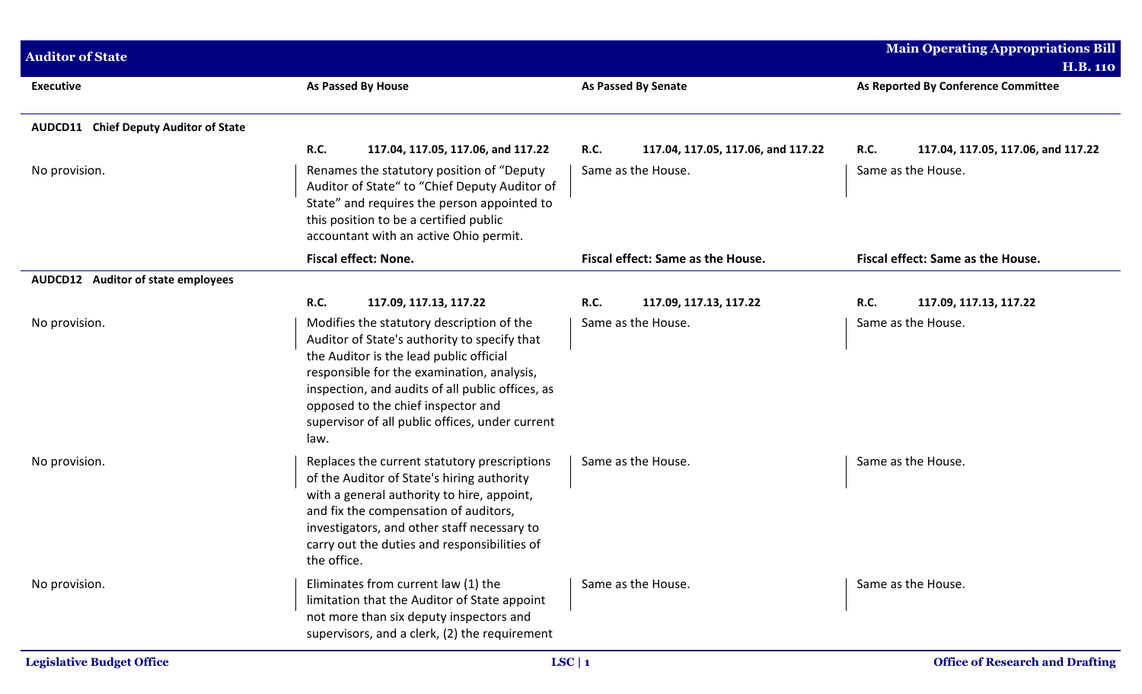| <b>Auditor of State</b>                                |                                                                                                                                                                                                                                                                                                                                         |                                                   | <b>Main Operating Appropriations Bill</b>         |
|--------------------------------------------------------|-----------------------------------------------------------------------------------------------------------------------------------------------------------------------------------------------------------------------------------------------------------------------------------------------------------------------------------------|---------------------------------------------------|---------------------------------------------------|
|                                                        |                                                                                                                                                                                                                                                                                                                                         |                                                   | <b>H.B. 110</b>                                   |
| <b>Executive</b>                                       | As Passed By House                                                                                                                                                                                                                                                                                                                      | <b>As Passed By Senate</b>                        | As Reported By Conference Committee               |
| <b>Chief Deputy Auditor of State</b><br><b>AUDCD11</b> |                                                                                                                                                                                                                                                                                                                                         |                                                   |                                                   |
|                                                        | <b>R.C.</b><br>117.04, 117.05, 117.06, and 117.22                                                                                                                                                                                                                                                                                       | <b>R.C.</b><br>117.04, 117.05, 117.06, and 117.22 | <b>R.C.</b><br>117.04, 117.05, 117.06, and 117.22 |
| No provision.                                          | Renames the statutory position of "Deputy<br>Auditor of State" to "Chief Deputy Auditor of<br>State" and requires the person appointed to<br>this position to be a certified public<br>accountant with an active Ohio permit.                                                                                                           | Same as the House.                                | Same as the House.                                |
|                                                        | Fiscal effect: None.                                                                                                                                                                                                                                                                                                                    | Fiscal effect: Same as the House.                 | Fiscal effect: Same as the House.                 |
| AUDCD12 Auditor of state employees                     |                                                                                                                                                                                                                                                                                                                                         |                                                   |                                                   |
|                                                        | R.C.<br>117.09, 117.13, 117.22                                                                                                                                                                                                                                                                                                          | <b>R.C.</b><br>117.09, 117.13, 117.22             | R.C.<br>117.09, 117.13, 117.22                    |
| No provision.                                          | Modifies the statutory description of the<br>Auditor of State's authority to specify that<br>the Auditor is the lead public official<br>responsible for the examination, analysis,<br>inspection, and audits of all public offices, as<br>opposed to the chief inspector and<br>supervisor of all public offices, under current<br>law. | Same as the House.                                | Same as the House.                                |
| No provision.                                          | Replaces the current statutory prescriptions<br>of the Auditor of State's hiring authority<br>with a general authority to hire, appoint,<br>and fix the compensation of auditors,<br>investigators, and other staff necessary to<br>carry out the duties and responsibilities of<br>the office.                                         | Same as the House.                                | Same as the House.                                |
| No provision.                                          | Eliminates from current law (1) the<br>limitation that the Auditor of State appoint<br>not more than six deputy inspectors and<br>supervisors, and a clerk, (2) the requirement                                                                                                                                                         | Same as the House.                                | Same as the House.                                |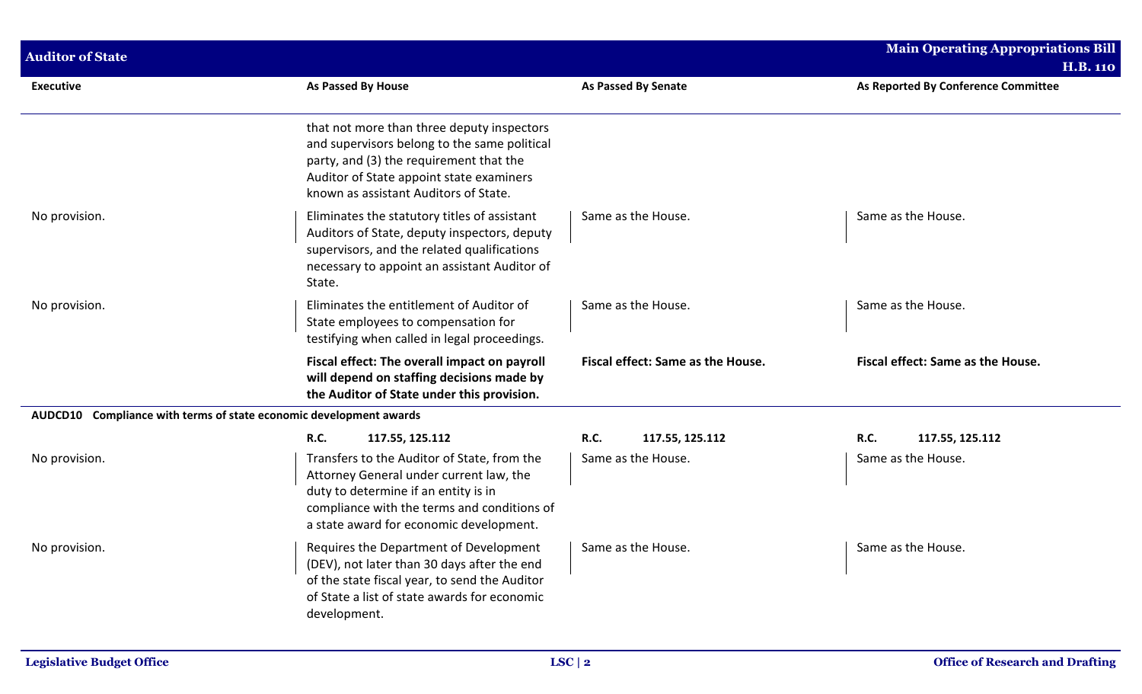| <b>Auditor of State</b>                                            |                                                                                                                                                                                                                            |                                   | <b>Main Operating Appropriations Bill</b><br><b>H.B. 110</b> |
|--------------------------------------------------------------------|----------------------------------------------------------------------------------------------------------------------------------------------------------------------------------------------------------------------------|-----------------------------------|--------------------------------------------------------------|
| <b>Executive</b>                                                   | As Passed By House                                                                                                                                                                                                         | As Passed By Senate               | As Reported By Conference Committee                          |
|                                                                    | that not more than three deputy inspectors<br>and supervisors belong to the same political<br>party, and (3) the requirement that the<br>Auditor of State appoint state examiners<br>known as assistant Auditors of State. |                                   |                                                              |
| No provision.                                                      | Eliminates the statutory titles of assistant<br>Auditors of State, deputy inspectors, deputy<br>supervisors, and the related qualifications<br>necessary to appoint an assistant Auditor of<br>State.                      | Same as the House.                | Same as the House.                                           |
| No provision.                                                      | Eliminates the entitlement of Auditor of<br>State employees to compensation for<br>testifying when called in legal proceedings.                                                                                            | Same as the House.                | Same as the House.                                           |
|                                                                    | Fiscal effect: The overall impact on payroll<br>will depend on staffing decisions made by<br>the Auditor of State under this provision.                                                                                    | Fiscal effect: Same as the House. | Fiscal effect: Same as the House.                            |
| AUDCD10 Compliance with terms of state economic development awards |                                                                                                                                                                                                                            |                                   |                                                              |
|                                                                    | R.C.<br>117.55, 125.112                                                                                                                                                                                                    | R.C.<br>117.55, 125.112           | <b>R.C.</b><br>117.55, 125.112                               |
| No provision.                                                      | Transfers to the Auditor of State, from the<br>Attorney General under current law, the<br>duty to determine if an entity is in<br>compliance with the terms and conditions of<br>a state award for economic development.   | Same as the House.                | Same as the House.                                           |
| No provision.                                                      | Requires the Department of Development<br>(DEV), not later than 30 days after the end<br>of the state fiscal year, to send the Auditor<br>of State a list of state awards for economic<br>development.                     | Same as the House.                | Same as the House.                                           |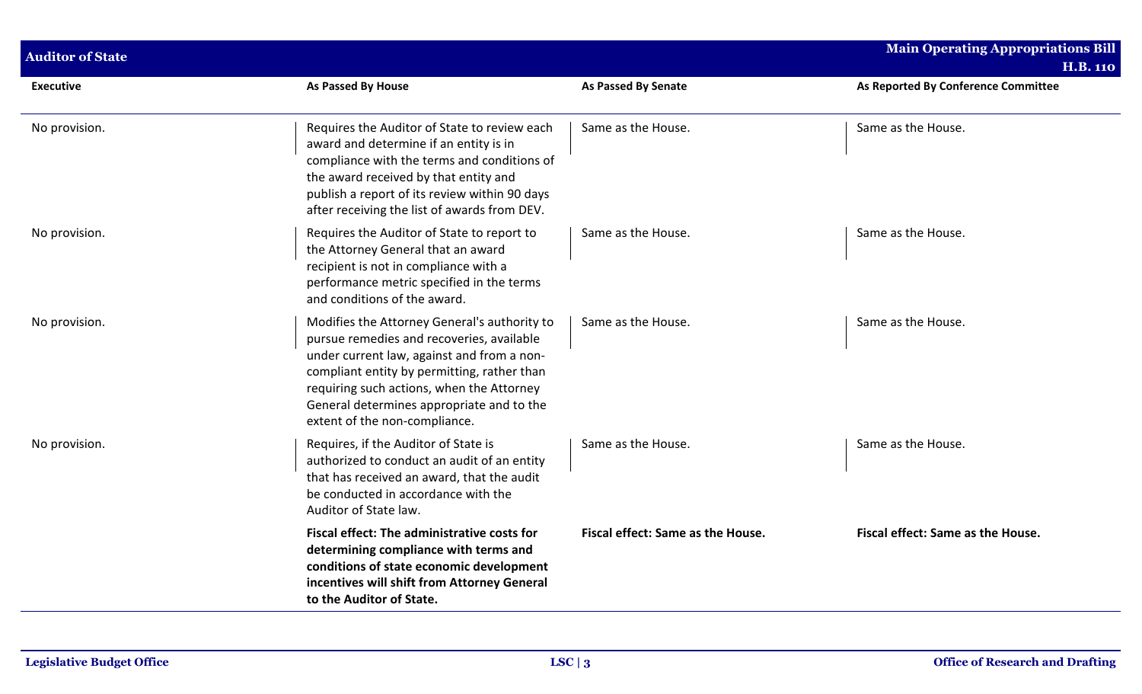| <b>Auditor of State</b> |                                                                                                                                                                                                                                                                                                                   |                                   | <b>Main Operating Appropriations Bill</b> |
|-------------------------|-------------------------------------------------------------------------------------------------------------------------------------------------------------------------------------------------------------------------------------------------------------------------------------------------------------------|-----------------------------------|-------------------------------------------|
|                         |                                                                                                                                                                                                                                                                                                                   |                                   | <b>H.B. 110</b>                           |
| <b>Executive</b>        | As Passed By House                                                                                                                                                                                                                                                                                                | <b>As Passed By Senate</b>        | As Reported By Conference Committee       |
| No provision.           | Requires the Auditor of State to review each<br>award and determine if an entity is in<br>compliance with the terms and conditions of<br>the award received by that entity and<br>publish a report of its review within 90 days<br>after receiving the list of awards from DEV.                                   | Same as the House.                | Same as the House.                        |
| No provision.           | Requires the Auditor of State to report to<br>the Attorney General that an award<br>recipient is not in compliance with a<br>performance metric specified in the terms<br>and conditions of the award.                                                                                                            | Same as the House.                | Same as the House.                        |
| No provision.           | Modifies the Attorney General's authority to<br>pursue remedies and recoveries, available<br>under current law, against and from a non-<br>compliant entity by permitting, rather than<br>requiring such actions, when the Attorney<br>General determines appropriate and to the<br>extent of the non-compliance. | Same as the House.                | Same as the House.                        |
| No provision.           | Requires, if the Auditor of State is<br>authorized to conduct an audit of an entity<br>that has received an award, that the audit<br>be conducted in accordance with the<br>Auditor of State law.                                                                                                                 | Same as the House.                | Same as the House.                        |
|                         | Fiscal effect: The administrative costs for<br>determining compliance with terms and<br>conditions of state economic development<br>incentives will shift from Attorney General<br>to the Auditor of State.                                                                                                       | Fiscal effect: Same as the House. | Fiscal effect: Same as the House.         |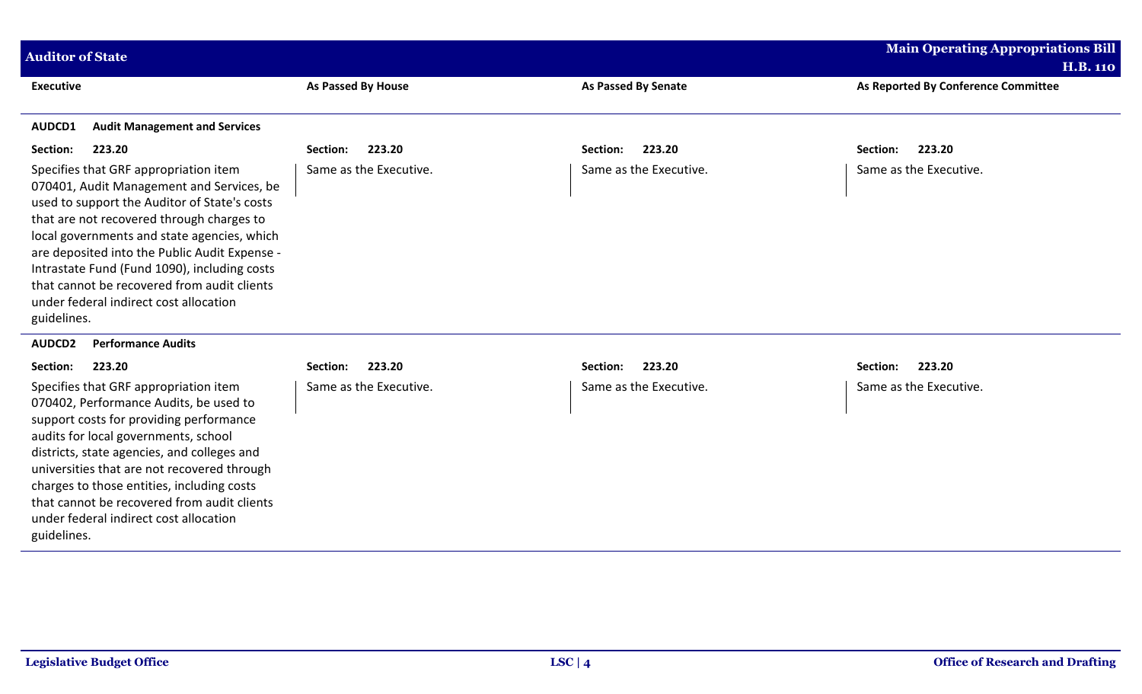| <b>Auditor of State</b>                                                                                                                                                                                                                                                                                                                                                                                                                 |                           |                            | <b>Main Operating Appropriations Bill</b><br><b>H.B. 110</b> |
|-----------------------------------------------------------------------------------------------------------------------------------------------------------------------------------------------------------------------------------------------------------------------------------------------------------------------------------------------------------------------------------------------------------------------------------------|---------------------------|----------------------------|--------------------------------------------------------------|
| <b>Executive</b>                                                                                                                                                                                                                                                                                                                                                                                                                        | <b>As Passed By House</b> | <b>As Passed By Senate</b> | As Reported By Conference Committee                          |
| AUDCD1<br><b>Audit Management and Services</b>                                                                                                                                                                                                                                                                                                                                                                                          |                           |                            |                                                              |
| Section:<br>223.20                                                                                                                                                                                                                                                                                                                                                                                                                      | 223.20<br>Section:        | 223.20<br>Section:         | Section:<br>223.20                                           |
| Specifies that GRF appropriation item<br>070401, Audit Management and Services, be<br>used to support the Auditor of State's costs<br>that are not recovered through charges to<br>local governments and state agencies, which<br>are deposited into the Public Audit Expense -<br>Intrastate Fund (Fund 1090), including costs<br>that cannot be recovered from audit clients<br>under federal indirect cost allocation<br>guidelines. | Same as the Executive.    | Same as the Executive.     | Same as the Executive.                                       |
| <b>AUDCD2</b><br><b>Performance Audits</b>                                                                                                                                                                                                                                                                                                                                                                                              |                           |                            |                                                              |
| 223.20<br>Section:                                                                                                                                                                                                                                                                                                                                                                                                                      | 223.20<br>Section:        | 223.20<br>Section:         | Section:<br>223.20                                           |
| Specifies that GRF appropriation item<br>070402, Performance Audits, be used to<br>support costs for providing performance<br>audits for local governments, school<br>districts, state agencies, and colleges and<br>universities that are not recovered through<br>charges to those entities, including costs<br>that cannot be recovered from audit clients<br>under federal indirect cost allocation<br>guidelines.                  | Same as the Executive.    | Same as the Executive.     | Same as the Executive.                                       |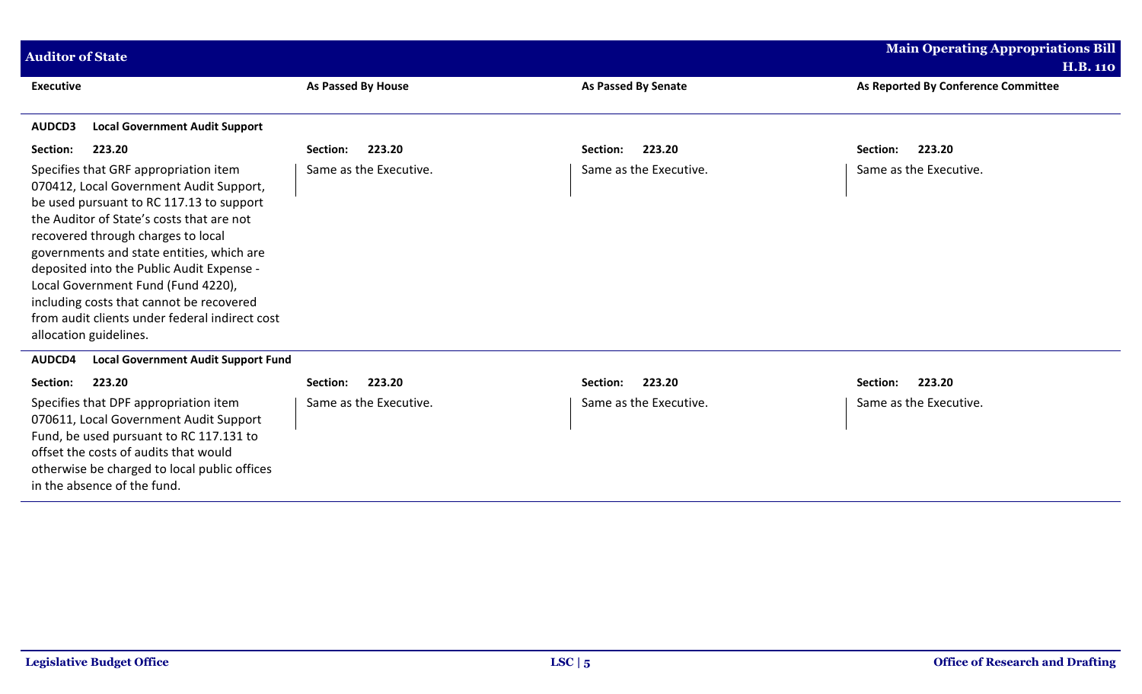| <b>Auditor of State</b>                                                                                                                                                                                                                                                                                                                                                                                                                                                 |                           |                            | <b>Main Operating Appropriations Bill</b> |
|-------------------------------------------------------------------------------------------------------------------------------------------------------------------------------------------------------------------------------------------------------------------------------------------------------------------------------------------------------------------------------------------------------------------------------------------------------------------------|---------------------------|----------------------------|-------------------------------------------|
|                                                                                                                                                                                                                                                                                                                                                                                                                                                                         |                           |                            | <b>H.B. 110</b>                           |
| <b>Executive</b>                                                                                                                                                                                                                                                                                                                                                                                                                                                        | <b>As Passed By House</b> | <b>As Passed By Senate</b> | As Reported By Conference Committee       |
| <b>Local Government Audit Support</b><br>AUDCD3                                                                                                                                                                                                                                                                                                                                                                                                                         |                           |                            |                                           |
| Section:<br>223.20                                                                                                                                                                                                                                                                                                                                                                                                                                                      | 223.20<br>Section:        | 223.20<br>Section:         | 223.20<br>Section:                        |
| Specifies that GRF appropriation item<br>070412, Local Government Audit Support,<br>be used pursuant to RC 117.13 to support<br>the Auditor of State's costs that are not<br>recovered through charges to local<br>governments and state entities, which are<br>deposited into the Public Audit Expense -<br>Local Government Fund (Fund 4220),<br>including costs that cannot be recovered<br>from audit clients under federal indirect cost<br>allocation guidelines. | Same as the Executive.    | Same as the Executive.     | Same as the Executive.                    |
| <b>Local Government Audit Support Fund</b><br>AUDCD4                                                                                                                                                                                                                                                                                                                                                                                                                    |                           |                            |                                           |
| 223.20<br>Section:                                                                                                                                                                                                                                                                                                                                                                                                                                                      | 223.20<br>Section:        | 223.20<br>Section:         | 223.20<br>Section:                        |
| Specifies that DPF appropriation item<br>070611, Local Government Audit Support<br>Fund, be used pursuant to RC 117.131 to<br>offset the costs of audits that would<br>otherwise be charged to local public offices<br>in the absence of the fund.                                                                                                                                                                                                                      | Same as the Executive.    | Same as the Executive.     | Same as the Executive.                    |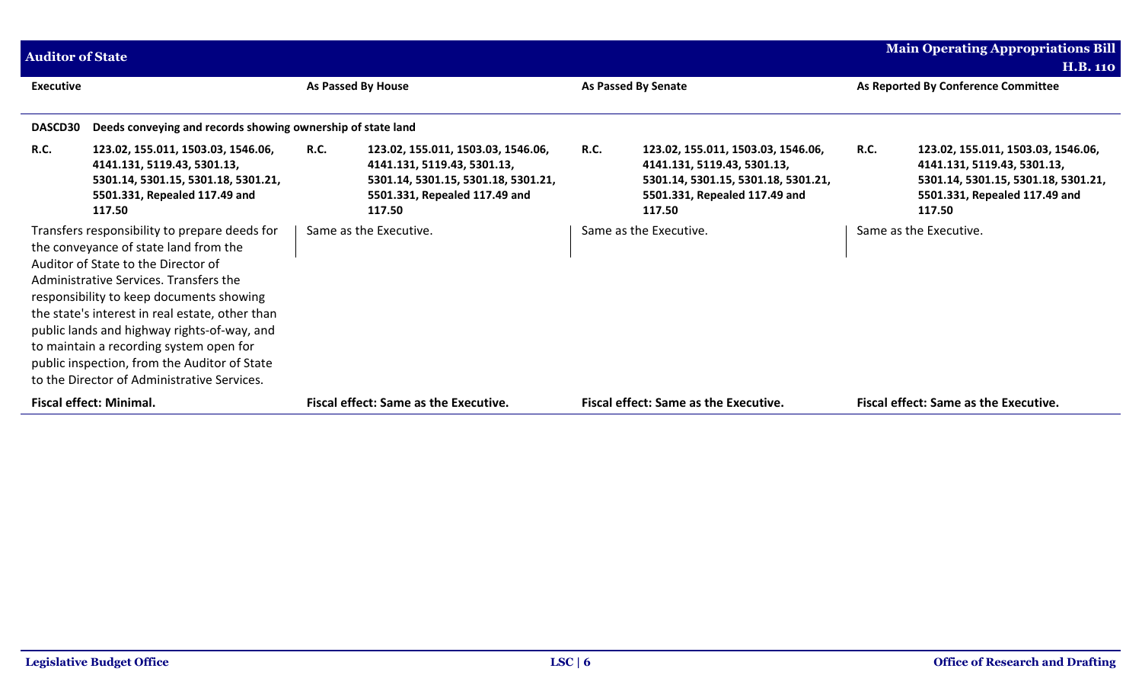| <b>Auditor of State</b> |                                                                                                                                                                                                                                                                                                                                                                                                                                                                 |             |                                                                                                                                                     |      |                                                                                                                                                     |             | <b>Main Operating Appropriations Bill</b>                                                                                                           |
|-------------------------|-----------------------------------------------------------------------------------------------------------------------------------------------------------------------------------------------------------------------------------------------------------------------------------------------------------------------------------------------------------------------------------------------------------------------------------------------------------------|-------------|-----------------------------------------------------------------------------------------------------------------------------------------------------|------|-----------------------------------------------------------------------------------------------------------------------------------------------------|-------------|-----------------------------------------------------------------------------------------------------------------------------------------------------|
|                         |                                                                                                                                                                                                                                                                                                                                                                                                                                                                 |             |                                                                                                                                                     |      |                                                                                                                                                     |             | <b>H.B. 110</b>                                                                                                                                     |
| <b>Executive</b>        |                                                                                                                                                                                                                                                                                                                                                                                                                                                                 |             | As Passed By House                                                                                                                                  |      | As Passed By Senate                                                                                                                                 |             | As Reported By Conference Committee                                                                                                                 |
| <b>DASCD30</b>          | Deeds conveying and records showing ownership of state land                                                                                                                                                                                                                                                                                                                                                                                                     |             |                                                                                                                                                     |      |                                                                                                                                                     |             |                                                                                                                                                     |
| <b>R.C.</b>             | 123.02, 155.011, 1503.03, 1546.06,<br>4141.131, 5119.43, 5301.13,<br>5301.14, 5301.15, 5301.18, 5301.21,<br>5501.331, Repealed 117.49 and<br>117.50                                                                                                                                                                                                                                                                                                             | <b>R.C.</b> | 123.02, 155.011, 1503.03, 1546.06,<br>4141.131, 5119.43, 5301.13,<br>5301.14, 5301.15, 5301.18, 5301.21,<br>5501.331, Repealed 117.49 and<br>117.50 | R.C. | 123.02, 155.011, 1503.03, 1546.06,<br>4141.131, 5119.43, 5301.13,<br>5301.14, 5301.15, 5301.18, 5301.21,<br>5501.331, Repealed 117.49 and<br>117.50 | <b>R.C.</b> | 123.02, 155.011, 1503.03, 1546.06,<br>4141.131, 5119.43, 5301.13,<br>5301.14, 5301.15, 5301.18, 5301.21,<br>5501.331, Repealed 117.49 and<br>117.50 |
|                         | Transfers responsibility to prepare deeds for<br>the conveyance of state land from the<br>Auditor of State to the Director of<br>Administrative Services. Transfers the<br>responsibility to keep documents showing<br>the state's interest in real estate, other than<br>public lands and highway rights-of-way, and<br>to maintain a recording system open for<br>public inspection, from the Auditor of State<br>to the Director of Administrative Services. |             | Same as the Executive.                                                                                                                              |      | Same as the Executive.                                                                                                                              |             | Same as the Executive.                                                                                                                              |
|                         | <b>Fiscal effect: Minimal.</b>                                                                                                                                                                                                                                                                                                                                                                                                                                  |             | <b>Fiscal effect: Same as the Executive.</b>                                                                                                        |      | <b>Fiscal effect: Same as the Executive.</b>                                                                                                        |             | <b>Fiscal effect: Same as the Executive.</b>                                                                                                        |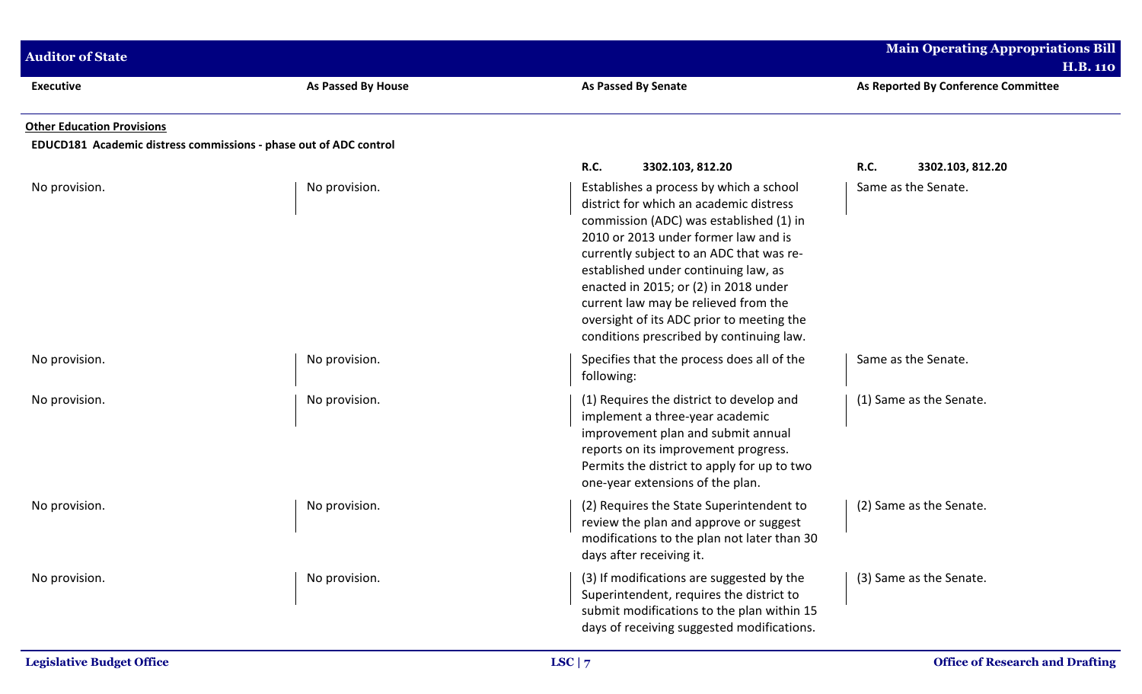| <b>Auditor of State</b>                                                                                |                    |                                                                                                                                                                                                                                                                                                                                                                                                                                     | <b>Main Operating Appropriations Bill</b><br><b>H.B. 110</b> |
|--------------------------------------------------------------------------------------------------------|--------------------|-------------------------------------------------------------------------------------------------------------------------------------------------------------------------------------------------------------------------------------------------------------------------------------------------------------------------------------------------------------------------------------------------------------------------------------|--------------------------------------------------------------|
| <b>Executive</b>                                                                                       | As Passed By House | <b>As Passed By Senate</b>                                                                                                                                                                                                                                                                                                                                                                                                          | As Reported By Conference Committee                          |
| <b>Other Education Provisions</b><br>EDUCD181 Academic distress commissions - phase out of ADC control |                    |                                                                                                                                                                                                                                                                                                                                                                                                                                     |                                                              |
|                                                                                                        |                    | <b>R.C.</b><br>3302.103, 812.20                                                                                                                                                                                                                                                                                                                                                                                                     | <b>R.C.</b><br>3302.103, 812.20                              |
| No provision.                                                                                          | No provision.      | Establishes a process by which a school<br>district for which an academic distress<br>commission (ADC) was established (1) in<br>2010 or 2013 under former law and is<br>currently subject to an ADC that was re-<br>established under continuing law, as<br>enacted in 2015; or (2) in 2018 under<br>current law may be relieved from the<br>oversight of its ADC prior to meeting the<br>conditions prescribed by continuing law. | Same as the Senate.                                          |
| No provision.                                                                                          | No provision.      | Specifies that the process does all of the<br>following:                                                                                                                                                                                                                                                                                                                                                                            | Same as the Senate.                                          |
| No provision.                                                                                          | No provision.      | (1) Requires the district to develop and<br>implement a three-year academic<br>improvement plan and submit annual<br>reports on its improvement progress.<br>Permits the district to apply for up to two<br>one-year extensions of the plan.                                                                                                                                                                                        | (1) Same as the Senate.                                      |
| No provision.                                                                                          | No provision.      | (2) Requires the State Superintendent to<br>review the plan and approve or suggest<br>modifications to the plan not later than 30<br>days after receiving it.                                                                                                                                                                                                                                                                       | (2) Same as the Senate.                                      |
| No provision.                                                                                          | No provision.      | (3) If modifications are suggested by the<br>Superintendent, requires the district to<br>submit modifications to the plan within 15<br>days of receiving suggested modifications.                                                                                                                                                                                                                                                   | (3) Same as the Senate.                                      |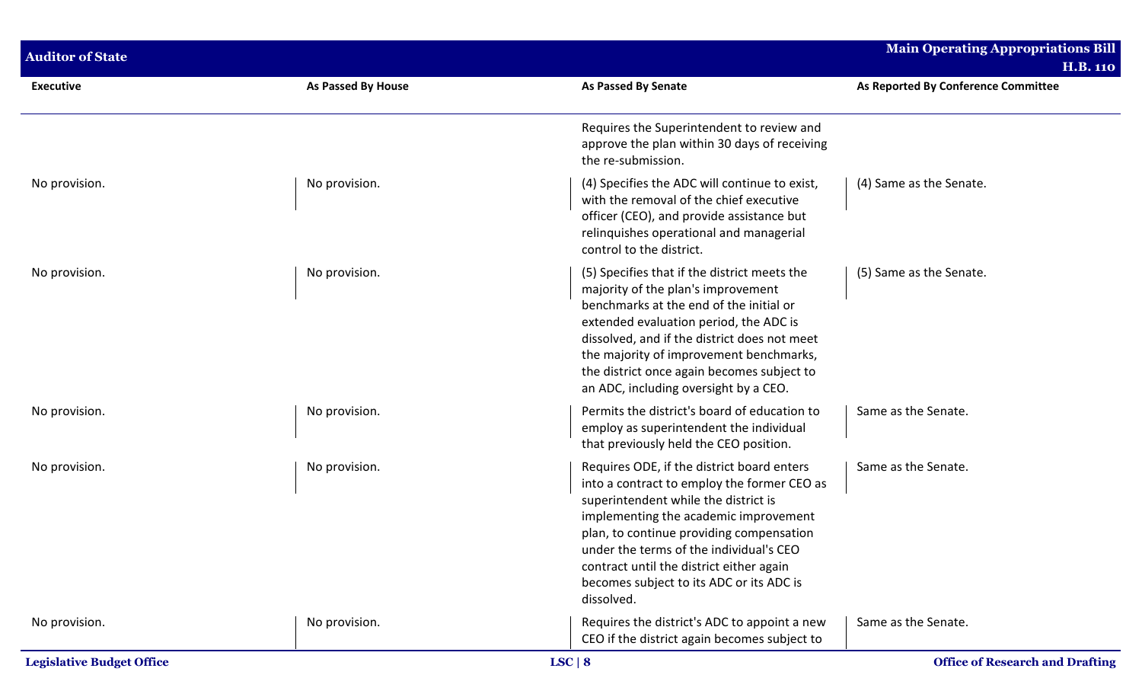| <b>Auditor of State</b>          |                    |                                                                                                                                                                                                                                                                                                                                                                         | Main Operating Appropriations Bill<br><b>H.B. 110</b> |
|----------------------------------|--------------------|-------------------------------------------------------------------------------------------------------------------------------------------------------------------------------------------------------------------------------------------------------------------------------------------------------------------------------------------------------------------------|-------------------------------------------------------|
| <b>Executive</b>                 | As Passed By House | <b>As Passed By Senate</b>                                                                                                                                                                                                                                                                                                                                              | As Reported By Conference Committee                   |
|                                  |                    | Requires the Superintendent to review and<br>approve the plan within 30 days of receiving<br>the re-submission.                                                                                                                                                                                                                                                         |                                                       |
| No provision.                    | No provision.      | (4) Specifies the ADC will continue to exist,<br>with the removal of the chief executive<br>officer (CEO), and provide assistance but<br>relinquishes operational and managerial<br>control to the district.                                                                                                                                                            | (4) Same as the Senate.                               |
| No provision.                    | No provision.      | (5) Specifies that if the district meets the<br>majority of the plan's improvement<br>benchmarks at the end of the initial or<br>extended evaluation period, the ADC is<br>dissolved, and if the district does not meet<br>the majority of improvement benchmarks,<br>the district once again becomes subject to<br>an ADC, including oversight by a CEO.               | (5) Same as the Senate.                               |
| No provision.                    | No provision.      | Permits the district's board of education to<br>employ as superintendent the individual<br>that previously held the CEO position.                                                                                                                                                                                                                                       | Same as the Senate.                                   |
| No provision.                    | No provision.      | Requires ODE, if the district board enters<br>into a contract to employ the former CEO as<br>superintendent while the district is<br>implementing the academic improvement<br>plan, to continue providing compensation<br>under the terms of the individual's CEO<br>contract until the district either again<br>becomes subject to its ADC or its ADC is<br>dissolved. | Same as the Senate.                                   |
| No provision.                    | No provision.      | Requires the district's ADC to appoint a new<br>CEO if the district again becomes subject to                                                                                                                                                                                                                                                                            | Same as the Senate.                                   |
| <b>Legislative Budget Office</b> |                    | LSC   8                                                                                                                                                                                                                                                                                                                                                                 | <b>Office of Research and Drafting</b>                |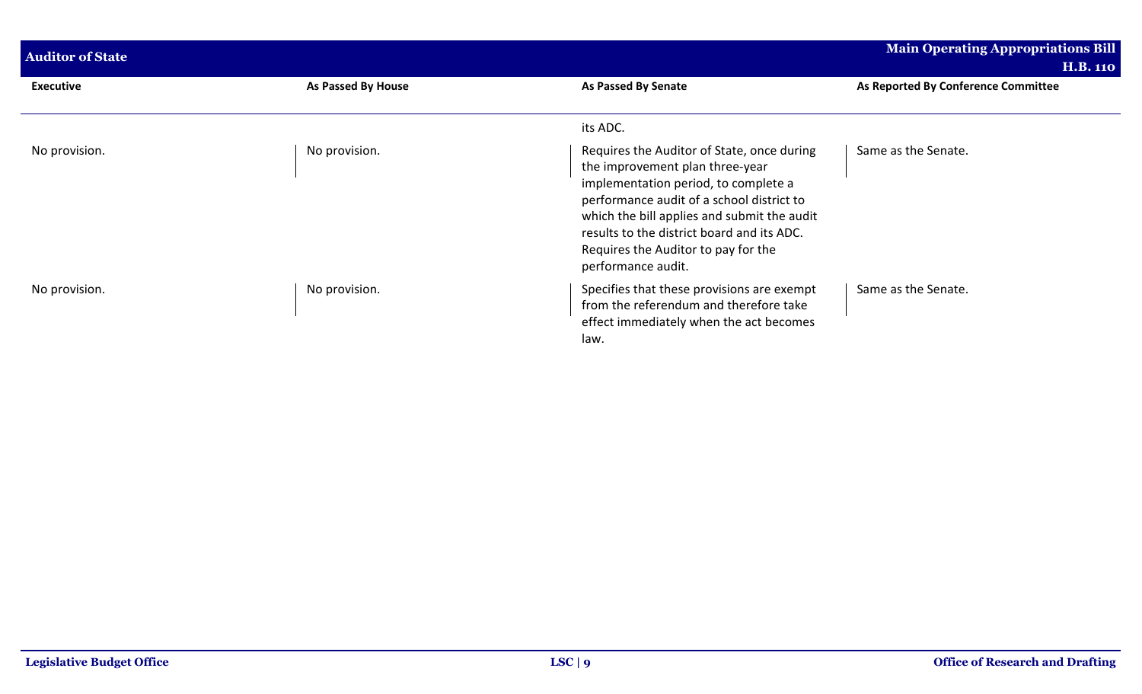| <b>Auditor of State</b> |                    |                                                                                                                                                                                                                                                                                                                              | <b>Main Operating Appropriations Bill</b><br><b>H.B. 110</b> |
|-------------------------|--------------------|------------------------------------------------------------------------------------------------------------------------------------------------------------------------------------------------------------------------------------------------------------------------------------------------------------------------------|--------------------------------------------------------------|
| <b>Executive</b>        | As Passed By House | As Passed By Senate                                                                                                                                                                                                                                                                                                          | As Reported By Conference Committee                          |
|                         |                    | its ADC.                                                                                                                                                                                                                                                                                                                     |                                                              |
| No provision.           | No provision.      | Requires the Auditor of State, once during<br>the improvement plan three-year<br>implementation period, to complete a<br>performance audit of a school district to<br>which the bill applies and submit the audit<br>results to the district board and its ADC.<br>Requires the Auditor to pay for the<br>performance audit. | Same as the Senate.                                          |
| No provision.           | No provision.      | Specifies that these provisions are exempt<br>from the referendum and therefore take<br>effect immediately when the act becomes<br>law.                                                                                                                                                                                      | Same as the Senate.                                          |